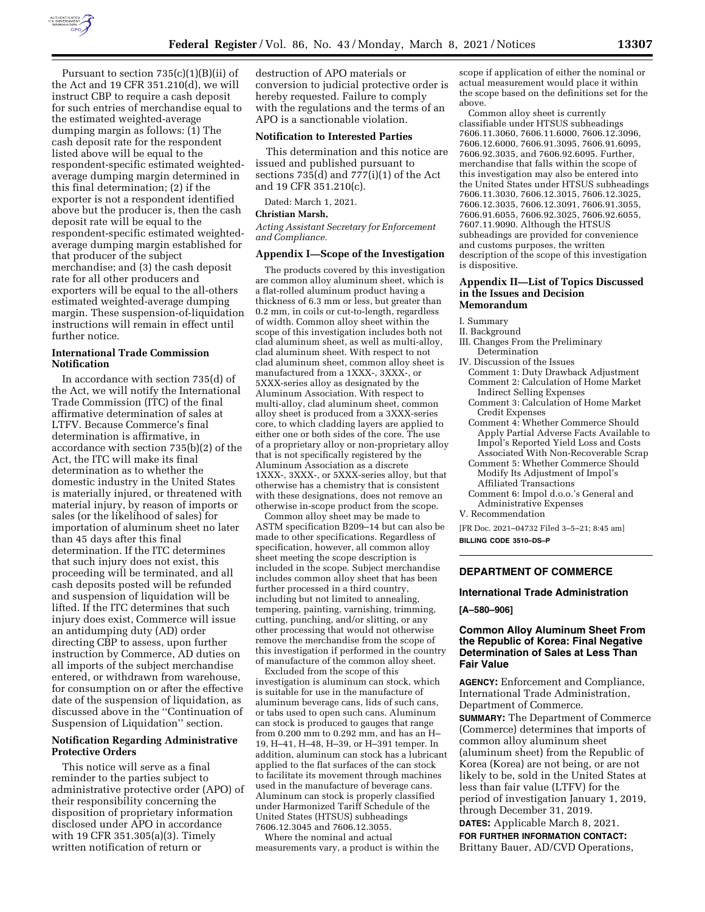

Pursuant to section  $735(c)(1)(B)(ii)$  of the Act and 19 CFR 351.210(d), we will instruct CBP to require a cash deposit for such entries of merchandise equal to the estimated weighted-average dumping margin as follows: (1) The cash deposit rate for the respondent listed above will be equal to the respondent-specific estimated weightedaverage dumping margin determined in this final determination; (2) if the exporter is not a respondent identified above but the producer is, then the cash deposit rate will be equal to the respondent-specific estimated weightedaverage dumping margin established for that producer of the subject merchandise; and (3) the cash deposit rate for all other producers and exporters will be equal to the all-others estimated weighted-average dumping margin. These suspension-of-liquidation instructions will remain in effect until further notice.

# **International Trade Commission Notification**

In accordance with section 735(d) of the Act, we will notify the International Trade Commission (ITC) of the final affirmative determination of sales at LTFV. Because Commerce's final determination is affirmative, in accordance with section 735(b)(2) of the Act, the ITC will make its final determination as to whether the domestic industry in the United States is materially injured, or threatened with material injury, by reason of imports or sales (or the likelihood of sales) for importation of aluminum sheet no later than 45 days after this final determination. If the ITC determines that such injury does not exist, this proceeding will be terminated, and all cash deposits posted will be refunded and suspension of liquidation will be lifted. If the ITC determines that such injury does exist, Commerce will issue an antidumping duty (AD) order directing CBP to assess, upon further instruction by Commerce, AD duties on all imports of the subject merchandise entered, or withdrawn from warehouse, for consumption on or after the effective date of the suspension of liquidation, as discussed above in the ''Continuation of Suspension of Liquidation'' section.

### **Notification Regarding Administrative Protective Orders**

This notice will serve as a final reminder to the parties subject to administrative protective order (APO) of their responsibility concerning the disposition of proprietary information disclosed under APO in accordance with 19 CFR 351.305(a)(3). Timely written notification of return or

destruction of APO materials or conversion to judicial protective order is hereby requested. Failure to comply with the regulations and the terms of an APO is a sanctionable violation.

# **Notification to Interested Parties**

This determination and this notice are issued and published pursuant to sections 735(d) and 777(i)(1) of the Act and 19 CFR 351.210(c).

Dated: March 1, 2021.

### **Christian Marsh,**

*Acting Assistant Secretary for Enforcement and Compliance.* 

#### **Appendix I—Scope of the Investigation**

The products covered by this investigation are common alloy aluminum sheet, which is a flat-rolled aluminum product having a thickness of 6.3 mm or less, but greater than 0.2 mm, in coils or cut-to-length, regardless of width. Common alloy sheet within the scope of this investigation includes both not clad aluminum sheet, as well as multi-alloy, clad aluminum sheet. With respect to not clad aluminum sheet, common alloy sheet is manufactured from a 1XXX-, 3XXX-, or 5XXX-series alloy as designated by the Aluminum Association. With respect to multi-alloy, clad aluminum sheet, common alloy sheet is produced from a 3XXX-series core, to which cladding layers are applied to either one or both sides of the core. The use of a proprietary alloy or non-proprietary alloy that is not specifically registered by the Aluminum Association as a discrete 1XXX-, 3XXX-, or 5XXX-series alloy, but that otherwise has a chemistry that is consistent with these designations, does not remove an otherwise in-scope product from the scope.

Common alloy sheet may be made to ASTM specification B209–14 but can also be made to other specifications. Regardless of specification, however, all common alloy sheet meeting the scope description is included in the scope. Subject merchandise includes common alloy sheet that has been further processed in a third country, including but not limited to annealing, tempering, painting, varnishing, trimming, cutting, punching, and/or slitting, or any other processing that would not otherwise remove the merchandise from the scope of this investigation if performed in the country of manufacture of the common alloy sheet.

Excluded from the scope of this investigation is aluminum can stock, which is suitable for use in the manufacture of aluminum beverage cans, lids of such cans, or tabs used to open such cans. Aluminum can stock is produced to gauges that range from 0.200 mm to 0.292 mm, and has an H– 19, H–41, H–48, H–39, or H–391 temper. In addition, aluminum can stock has a lubricant applied to the flat surfaces of the can stock to facilitate its movement through machines used in the manufacture of beverage cans. Aluminum can stock is properly classified under Harmonized Tariff Schedule of the United States (HTSUS) subheadings 7606.12.3045 and 7606.12.3055.

Where the nominal and actual measurements vary, a product is within the

scope if application of either the nominal or actual measurement would place it within the scope based on the definitions set for the above.

Common alloy sheet is currently classifiable under HTSUS subheadings 7606.11.3060, 7606.11.6000, 7606.12.3096, 7606.12.6000, 7606.91.3095, 7606.91.6095, 7606.92.3035, and 7606.92.6095. Further, merchandise that falls within the scope of this investigation may also be entered into the United States under HTSUS subheadings 7606.11.3030, 7606.12.3015, 7606.12.3025, 7606.12.3035, 7606.12.3091, 7606.91.3055, 7606.91.6055, 7606.92.3025, 7606.92.6055, 7607.11.9090. Although the HTSUS subheadings are provided for convenience and customs purposes, the written description of the scope of this investigation is dispositive.

#### **Appendix II—List of Topics Discussed in the Issues and Decision Memorandum**

# I. Summary

- II. Background
- III. Changes From the Preliminary Determination
- IV. Discussion of the Issues
- Comment 1: Duty Drawback Adjustment Comment 2: Calculation of Home Market Indirect Selling Expenses
- Comment 3: Calculation of Home Market Credit Expenses
- Comment 4: Whether Commerce Should Apply Partial Adverse Facts Available to Impol's Reported Yield Loss and Costs Associated With Non-Recoverable Scrap
- Comment 5: Whether Commerce Should Modify Its Adjustment of Impol's Affiliated Transactions
- Comment 6: Impol d.o.o.'s General and Administrative Expenses

V. Recommendation

[FR Doc. 2021–04732 Filed 3–5–21; 8:45 am] **BILLING CODE 3510–DS–P** 

# **DEPARTMENT OF COMMERCE**

# **International Trade Administration**

#### **[A–580–906]**

# **Common Alloy Aluminum Sheet From the Republic of Korea: Final Negative Determination of Sales at Less Than Fair Value**

**AGENCY:** Enforcement and Compliance, International Trade Administration, Department of Commerce.

**SUMMARY:** The Department of Commerce (Commerce) determines that imports of common alloy aluminum sheet (aluminum sheet) from the Republic of Korea (Korea) are not being, or are not likely to be, sold in the United States at less than fair value (LTFV) for the period of investigation January 1, 2019, through December 31, 2019.

**DATES:** Applicable March 8, 2021. **FOR FURTHER INFORMATION CONTACT:**  Brittany Bauer, AD/CVD Operations,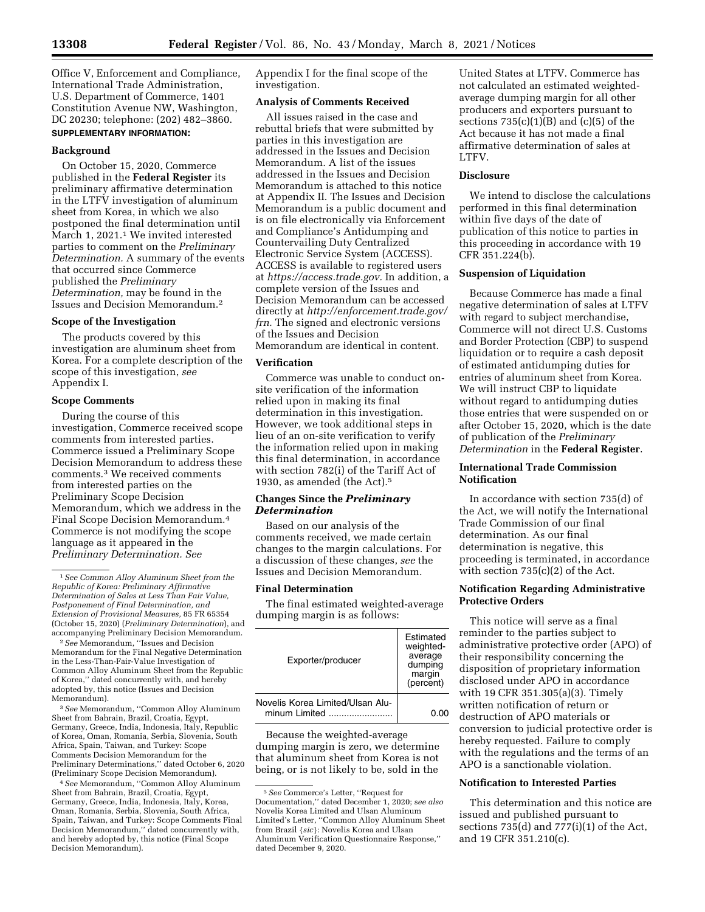Office V, Enforcement and Compliance, International Trade Administration, U.S. Department of Commerce, 1401 Constitution Avenue NW, Washington, DC 20230; telephone: (202) 482–3860. **SUPPLEMENTARY INFORMATION:** 

## **Background**

On October 15, 2020, Commerce published in the **Federal Register** its preliminary affirmative determination in the LTFV investigation of aluminum sheet from Korea, in which we also postponed the final determination until March 1, 2021.1 We invited interested parties to comment on the *Preliminary Determination.* A summary of the events that occurred since Commerce published the *Preliminary Determination,* may be found in the Issues and Decision Memorandum.2

#### **Scope of the Investigation**

The products covered by this investigation are aluminum sheet from Korea. For a complete description of the scope of this investigation, *see*  Appendix I.

#### **Scope Comments**

During the course of this investigation, Commerce received scope comments from interested parties. Commerce issued a Preliminary Scope Decision Memorandum to address these comments.3 We received comments from interested parties on the Preliminary Scope Decision Memorandum, which we address in the Final Scope Decision Memorandum.4 Commerce is not modifying the scope language as it appeared in the *Preliminary Determination. See* 

2*See* Memorandum, ''Issues and Decision Memorandum for the Final Negative Determination in the Less-Than-Fair-Value Investigation of Common Alloy Aluminum Sheet from the Republic of Korea,'' dated concurrently with, and hereby adopted by, this notice (Issues and Decision Memorandum).

3*See* Memorandum, ''Common Alloy Aluminum Sheet from Bahrain, Brazil, Croatia, Egypt, Germany, Greece, India, Indonesia, Italy, Republic of Korea, Oman, Romania, Serbia, Slovenia, South Africa, Spain, Taiwan, and Turkey: Scope Comments Decision Memorandum for the Preliminary Determinations,'' dated October 6, 2020 (Preliminary Scope Decision Memorandum).

4*See* Memorandum, ''Common Alloy Aluminum Sheet from Bahrain, Brazil, Croatia, Egypt, Germany, Greece, India, Indonesia, Italy, Korea, Oman, Romania, Serbia, Slovenia, South Africa, Spain, Taiwan, and Turkey: Scope Comments Final Decision Memorandum,'' dated concurrently with, and hereby adopted by, this notice (Final Scope Decision Memorandum).

Appendix I for the final scope of the investigation.

### **Analysis of Comments Received**

All issues raised in the case and rebuttal briefs that were submitted by parties in this investigation are addressed in the Issues and Decision Memorandum. A list of the issues addressed in the Issues and Decision Memorandum is attached to this notice at Appendix II. The Issues and Decision Memorandum is a public document and is on file electronically via Enforcement and Compliance's Antidumping and Countervailing Duty Centralized Electronic Service System (ACCESS). ACCESS is available to registered users at *[https://access.trade.gov.](https://access.trade.gov)* In addition, a complete version of the Issues and Decision Memorandum can be accessed directly at *[http://enforcement.trade.gov/](http://enforcement.trade.gov/frn)  [frn.](http://enforcement.trade.gov/frn)* The signed and electronic versions of the Issues and Decision Memorandum are identical in content.

# **Verification**

Commerce was unable to conduct onsite verification of the information relied upon in making its final determination in this investigation. However, we took additional steps in lieu of an on-site verification to verify the information relied upon in making this final determination, in accordance with section 782(i) of the Tariff Act of 1930, as amended (the Act).5

# **Changes Since the** *Preliminary Determination*

Based on our analysis of the comments received, we made certain changes to the margin calculations. For a discussion of these changes, *see* the Issues and Decision Memorandum.

### **Final Determination**

The final estimated weighted-average dumping margin is as follows:

| Exporter/producer                                  | Estimated<br>weighted-<br>average<br>dumping<br>margin<br>(percent) |
|----------------------------------------------------|---------------------------------------------------------------------|
| Novelis Korea Limited/Ulsan Alu-<br>minum I imited | 0.OO                                                                |

Because the weighted-average dumping margin is zero, we determine that aluminum sheet from Korea is not being, or is not likely to be, sold in the

United States at LTFV. Commerce has not calculated an estimated weightedaverage dumping margin for all other producers and exporters pursuant to sections  $735(c)(1)(B)$  and  $(c)(5)$  of the Act because it has not made a final affirmative determination of sales at LTFV.

# **Disclosure**

We intend to disclose the calculations performed in this final determination within five days of the date of publication of this notice to parties in this proceeding in accordance with 19 CFR 351.224(b).

### **Suspension of Liquidation**

Because Commerce has made a final negative determination of sales at LTFV with regard to subject merchandise, Commerce will not direct U.S. Customs and Border Protection (CBP) to suspend liquidation or to require a cash deposit of estimated antidumping duties for entries of aluminum sheet from Korea. We will instruct CBP to liquidate without regard to antidumping duties those entries that were suspended on or after October 15, 2020, which is the date of publication of the *Preliminary Determination* in the **Federal Register**.

# **International Trade Commission Notification**

In accordance with section 735(d) of the Act, we will notify the International Trade Commission of our final determination. As our final determination is negative, this proceeding is terminated, in accordance with section 735(c)(2) of the Act.

# **Notification Regarding Administrative Protective Orders**

This notice will serve as a final reminder to the parties subject to administrative protective order (APO) of their responsibility concerning the disposition of proprietary information disclosed under APO in accordance with 19 CFR 351.305(a)(3). Timely written notification of return or destruction of APO materials or conversion to judicial protective order is hereby requested. Failure to comply with the regulations and the terms of an APO is a sanctionable violation.

# **Notification to Interested Parties**

This determination and this notice are issued and published pursuant to sections 735(d) and 777(i)(1) of the Act, and 19 CFR 351.210(c).

<sup>1</sup>*See Common Alloy Aluminum Sheet from the Republic of Korea: Preliminary Affirmative Determination of Sales at Less Than Fair Value, Postponement of Final Determination, and Extension of Provisional Measures,* 85 FR 65354 (October 15, 2020) (*Preliminary Determination*), and accompanying Preliminary Decision Memorandum.

<sup>5</sup>*See* Commerce's Letter, ''Request for Documentation,'' dated December 1, 2020; s*ee also*  Novelis Korea Limited and Ulsan Aluminum Limited's Letter, ''Common Alloy Aluminum Sheet from Brazil {*sic*}: Novelis Korea and Ulsan Aluminum Verification Questionnaire Response,'' dated December 9, 2020.